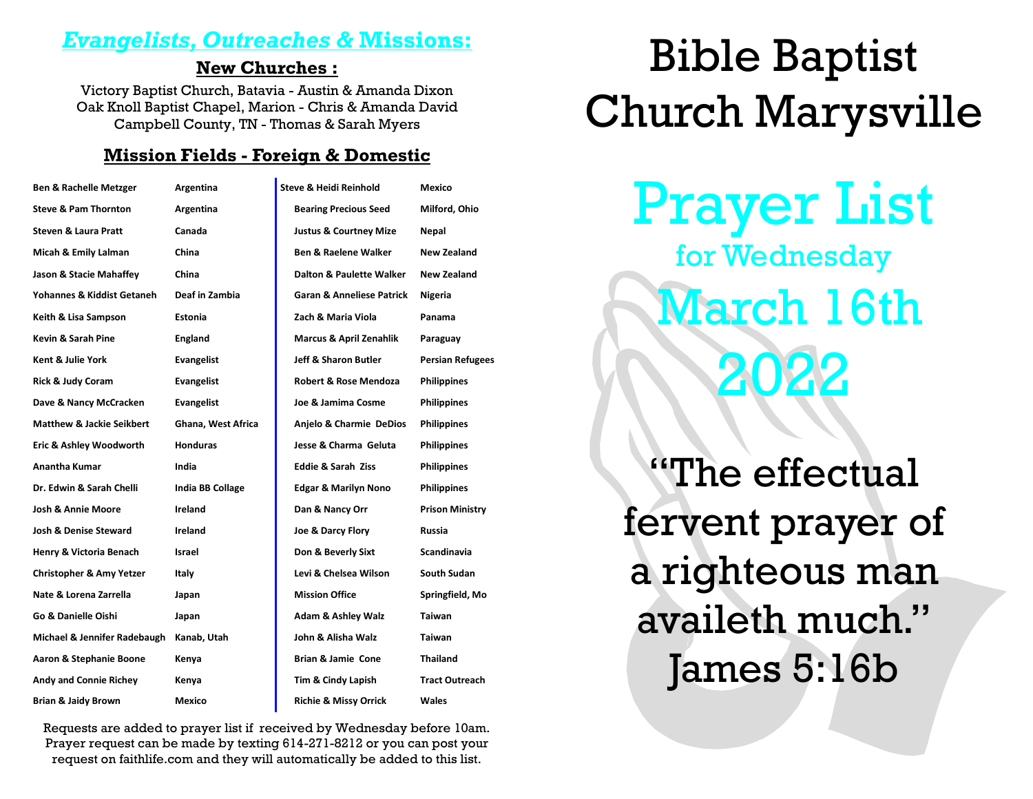### *Evangelists, Outreaches &* **Missions:**

#### **New Churches :**

Victory Baptist Church, Batavia - Austin & Amanda Dixon Oak Knoll Baptist Chapel, Marion - Chris & Amanda David Campbell County, TN - Thomas & Sarah Myers

#### **Mission Fields - Foreign & Domestic**

| <b>Ben &amp; Rachelle Metzger</b>    | Argentina               | <b>Steve &amp; Heidi Reinhold</b>    | Mexico                  |
|--------------------------------------|-------------------------|--------------------------------------|-------------------------|
| <b>Steve &amp; Pam Thornton</b>      | Argentina               | <b>Bearing Precious Seed</b>         | Milford, Ohio           |
| <b>Steven &amp; Laura Pratt</b>      | Canada                  | <b>Justus &amp; Courtney Mize</b>    | Nepal                   |
| Micah & Emily Lalman                 | China                   | <b>Ben &amp; Raelene Walker</b>      | <b>New Zealand</b>      |
| Jason & Stacie Mahaffey              | China                   | <b>Dalton &amp; Paulette Walker</b>  | New Zealand             |
| Yohannes & Kiddist Getaneh           | Deaf in Zambia          | <b>Garan &amp; Anneliese Patrick</b> | Nigeria                 |
| Keith & Lisa Sampson                 | Estonia                 | Zach & Maria Viola                   | Panama                  |
| Kevin & Sarah Pine                   | England                 | <b>Marcus &amp; April Zenahlik</b>   | Paraguay                |
| Kent & Julie York                    | <b>Evangelist</b>       | <b>Jeff &amp; Sharon Butler</b>      | <b>Persian Refugees</b> |
| <b>Rick &amp; Judy Coram</b>         | Evangelist              | <b>Robert &amp; Rose Mendoza</b>     | <b>Philippines</b>      |
| Dave & Nancy McCracken               | Evangelist              | Joe & Jamima Cosme                   | <b>Philippines</b>      |
| <b>Matthew &amp; Jackie Seikbert</b> | Ghana, West Africa      | Anjelo & Charmie DeDios              | <b>Philippines</b>      |
| Eric & Ashley Woodworth              | <b>Honduras</b>         | Jesse & Charma Geluta                | <b>Philippines</b>      |
| Anantha Kumar                        | India                   | <b>Eddie &amp; Sarah Ziss</b>        | <b>Philippines</b>      |
| Dr. Edwin & Sarah Chelli             | <b>India BB Collage</b> | <b>Edgar &amp; Marilyn Nono</b>      | <b>Philippines</b>      |
| <b>Josh &amp; Annie Moore</b>        | Ireland                 | Dan & Nancy Orr                      | <b>Prison Ministry</b>  |
| Josh & Denise Steward                | Ireland                 | Joe & Darcy Flory                    | Russia                  |
| Henry & Victoria Benach              | Israel                  | Don & Beverly Sixt                   | <b>Scandinavia</b>      |
| <b>Christopher &amp; Amy Yetzer</b>  | Italy                   | Levi & Chelsea Wilson                | South Sudan             |
| Nate & Lorena Zarrella               | Japan                   | <b>Mission Office</b>                | Springfield, Mo         |
| Go & Danielle Oishi                  | Japan                   | <b>Adam &amp; Ashley Walz</b>        | <b>Taiwan</b>           |
| Michael & Jennifer Radebaugh         | Kanab, Utah             | John & Alisha Walz                   | <b>Taiwan</b>           |
| Aaron & Stephanie Boone              | Kenya                   | Brian & Jamie Cone                   | <b>Thailand</b>         |
| Andy and Connie Richey               | Kenya                   | Tim & Cindy Lapish                   | <b>Tract Outreach</b>   |
| <b>Brian &amp; Jaidy Brown</b>       | Mexico                  | <b>Richie &amp; Missy Orrick</b>     | <b>Wales</b>            |

Requests are added to prayer list if received by Wednesday before 10am. Prayer request can be made by texting 614-271-8212 or you can post your request on faithlife.com and they will automatically be added to this list.

# Bible Baptist Church Marysville

Prayer List for Wednesday March 16th 2022

"The effectual fervent prayer of a righteous man availeth much." James 5:16b